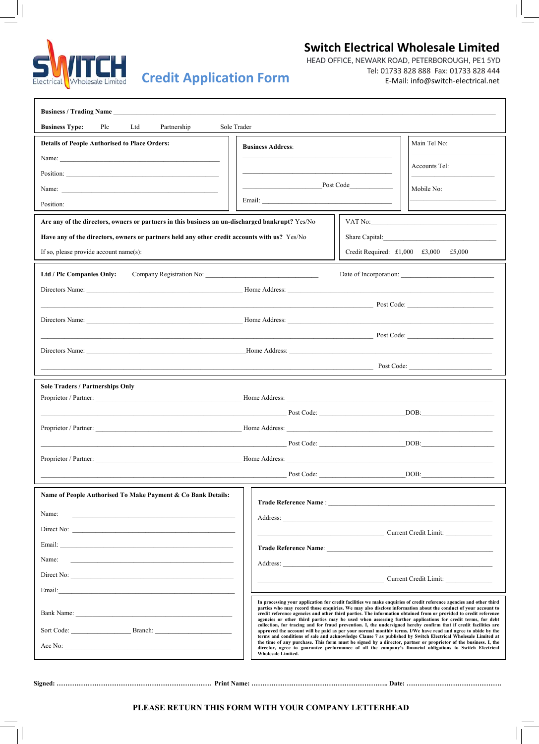

## **Switch Electrical Wholesale Limited**

Tel: 01733 828 888 Fax: 01733 828 444<br>E-Mail: info@switch-electrical.net Tel: 01733 828 888 Fax: 01733 828 444 HEAD OFFICE, NEWARK ROAD, PETERBOROUGH, PE1 5YD

| <b>Business Type:</b><br>Plc<br>Ltd<br>Sole Trader<br>Partnership                                                                                                                                                                    |                                                                                                                                                                                                                                                                                                                                                                                                                                                                        |                          |            |  |                                       |                       |  |
|--------------------------------------------------------------------------------------------------------------------------------------------------------------------------------------------------------------------------------------|------------------------------------------------------------------------------------------------------------------------------------------------------------------------------------------------------------------------------------------------------------------------------------------------------------------------------------------------------------------------------------------------------------------------------------------------------------------------|--------------------------|------------|--|---------------------------------------|-----------------------|--|
| <b>Details of People Authorised to Place Orders:</b>                                                                                                                                                                                 |                                                                                                                                                                                                                                                                                                                                                                                                                                                                        | <b>Business Address:</b> |            |  |                                       | Main Tel No:          |  |
| Name:                                                                                                                                                                                                                                |                                                                                                                                                                                                                                                                                                                                                                                                                                                                        |                          |            |  |                                       | Accounts Tel:         |  |
| Position:                                                                                                                                                                                                                            |                                                                                                                                                                                                                                                                                                                                                                                                                                                                        |                          |            |  |                                       |                       |  |
|                                                                                                                                                                                                                                      | Post Code                                                                                                                                                                                                                                                                                                                                                                                                                                                              |                          |            |  |                                       | Mobile No:            |  |
| Position:                                                                                                                                                                                                                            |                                                                                                                                                                                                                                                                                                                                                                                                                                                                        |                          |            |  |                                       |                       |  |
| Are any of the directors, owners or partners in this business an un-discharged bankrupt? Yes/No                                                                                                                                      |                                                                                                                                                                                                                                                                                                                                                                                                                                                                        |                          |            |  |                                       |                       |  |
| Have any of the directors, owners or partners held any other credit accounts with us? Yes/No                                                                                                                                         |                                                                                                                                                                                                                                                                                                                                                                                                                                                                        |                          |            |  |                                       |                       |  |
| If so, please provide account name(s):                                                                                                                                                                                               |                                                                                                                                                                                                                                                                                                                                                                                                                                                                        |                          |            |  | Credit Required: £1,000 £3,000 £5,000 |                       |  |
| Ltd / Plc Companies Only:                                                                                                                                                                                                            |                                                                                                                                                                                                                                                                                                                                                                                                                                                                        |                          |            |  |                                       |                       |  |
|                                                                                                                                                                                                                                      |                                                                                                                                                                                                                                                                                                                                                                                                                                                                        |                          |            |  |                                       |                       |  |
| <b>Example 18 Service Service Service Service Service Service Service Service Service Service Service Service Service Service Service Service Service Service Service Service Service Service Service Service Service Service Se</b> |                                                                                                                                                                                                                                                                                                                                                                                                                                                                        |                          |            |  |                                       |                       |  |
|                                                                                                                                                                                                                                      |                                                                                                                                                                                                                                                                                                                                                                                                                                                                        |                          |            |  |                                       |                       |  |
| $\overline{\phantom{a}}$ Post Code: $\overline{\phantom{a}}$                                                                                                                                                                         |                                                                                                                                                                                                                                                                                                                                                                                                                                                                        |                          |            |  |                                       |                       |  |
|                                                                                                                                                                                                                                      |                                                                                                                                                                                                                                                                                                                                                                                                                                                                        |                          |            |  |                                       |                       |  |
|                                                                                                                                                                                                                                      |                                                                                                                                                                                                                                                                                                                                                                                                                                                                        |                          |            |  |                                       | Post Code:            |  |
| <b>Sole Traders / Partnerships Only</b>                                                                                                                                                                                              |                                                                                                                                                                                                                                                                                                                                                                                                                                                                        |                          |            |  |                                       |                       |  |
|                                                                                                                                                                                                                                      |                                                                                                                                                                                                                                                                                                                                                                                                                                                                        |                          |            |  |                                       |                       |  |
|                                                                                                                                                                                                                                      | Post Code:                                                                                                                                                                                                                                                                                                                                                                                                                                                             |                          |            |  |                                       | DOB:                  |  |
|                                                                                                                                                                                                                                      |                                                                                                                                                                                                                                                                                                                                                                                                                                                                        |                          |            |  |                                       |                       |  |
|                                                                                                                                                                                                                                      | Post Code:                                                                                                                                                                                                                                                                                                                                                                                                                                                             |                          |            |  | DOB:                                  |                       |  |
|                                                                                                                                                                                                                                      |                                                                                                                                                                                                                                                                                                                                                                                                                                                                        |                          |            |  |                                       |                       |  |
|                                                                                                                                                                                                                                      |                                                                                                                                                                                                                                                                                                                                                                                                                                                                        |                          | Post Code: |  |                                       | DOB:                  |  |
| Name of People Authorised To Make Payment & Co Bank Details:                                                                                                                                                                         |                                                                                                                                                                                                                                                                                                                                                                                                                                                                        |                          |            |  |                                       |                       |  |
| Name:                                                                                                                                                                                                                                |                                                                                                                                                                                                                                                                                                                                                                                                                                                                        |                          |            |  |                                       |                       |  |
|                                                                                                                                                                                                                                      |                                                                                                                                                                                                                                                                                                                                                                                                                                                                        |                          |            |  |                                       | Current Credit Limit: |  |
| <u> 1980 - Andrea Andrew Maria (h. 1980).</u><br>Email:                                                                                                                                                                              |                                                                                                                                                                                                                                                                                                                                                                                                                                                                        |                          |            |  |                                       |                       |  |
| Name:                                                                                                                                                                                                                                |                                                                                                                                                                                                                                                                                                                                                                                                                                                                        |                          |            |  |                                       |                       |  |
| Direct No:                                                                                                                                                                                                                           |                                                                                                                                                                                                                                                                                                                                                                                                                                                                        |                          |            |  |                                       | Current Credit Limit: |  |
| Email:<br><u> 1980 - Johann John Stein, marwolaethau (b. 1980)</u>                                                                                                                                                                   |                                                                                                                                                                                                                                                                                                                                                                                                                                                                        |                          |            |  |                                       |                       |  |
|                                                                                                                                                                                                                                      | In processing your application for credit facilities we make enquiries of credit reference agencies and other third<br>parties who may record those enquiries. We may also disclose information about the conduct of your account to<br>credit reference agencies and other third parties. The information obtained from or provided to credit reference<br>agencies or other third parties may be used when assessing further applications for credit terms, for debt |                          |            |  |                                       |                       |  |
|                                                                                                                                                                                                                                      | collection, for tracing and for fraud prevention. I, the undersigned hereby confirm that if credit facilities are<br>approved the account will be paid as per your normal monthly terms. I/We have read and agree to abide by the<br>terms and conditions of sale and acknowledge Clause 7 as published by Switch Electrical Wholesale Limited at                                                                                                                      |                          |            |  |                                       |                       |  |
|                                                                                                                                                                                                                                      | the time of any purchase. This form must be signed by a director, partner or proprietor of the business. I, the<br>director, agree to guarantee performance of all the company's financial obligations to Switch Electrical<br><b>Wholesale Limited.</b>                                                                                                                                                                                                               |                          |            |  |                                       |                       |  |
|                                                                                                                                                                                                                                      |                                                                                                                                                                                                                                                                                                                                                                                                                                                                        |                          |            |  |                                       |                       |  |

**Signed: ……………………………………………………………. Print Name: …………………………………………………….. Date: …………………………………….**